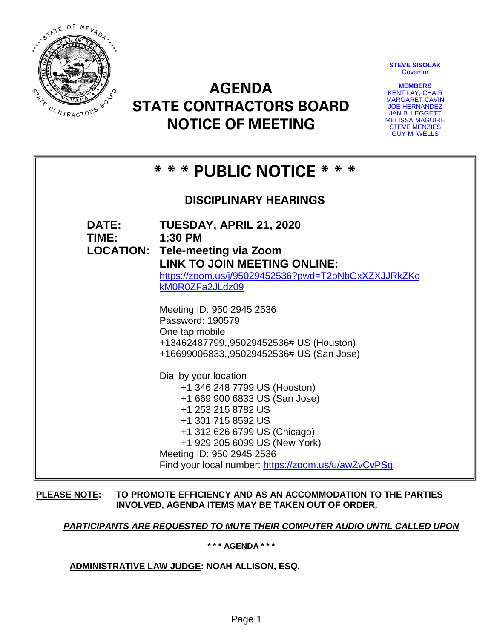

**STEVE SISOLAK Governor** 

**MEMBERS** KENT LAY, CHAIR MARGARET CAVIN JOE HERNANDEZ JAN B. LEGGETT MELISSA MAGUIRE STEVE MENZIES GUY M. WELLS

| * * * PUBLIC NOTICE * * *    |                                                                                                                                                                                                                                                                                         |
|------------------------------|-----------------------------------------------------------------------------------------------------------------------------------------------------------------------------------------------------------------------------------------------------------------------------------------|
| <b>DISCIPLINARY HEARINGS</b> |                                                                                                                                                                                                                                                                                         |
| DATE:<br>TIME:               | TUESDAY, APRIL 21, 2020<br>$1:30$ PM<br><b>LOCATION: Tele-meeting via Zoom</b><br>LINK TO JOIN MEETING ONLINE:<br>https://zoom.us/j/95029452536?pwd=T2pNbGxXZXJJRkZKc<br>kM0R0ZFa2JLdz09<br>Meeting ID: 950 2945 2536<br>Password: 190579                                               |
|                              | One tap mobile<br>+13462487799,,95029452536# US (Houston)<br>+16699006833,,95029452536# US (San Jose)                                                                                                                                                                                   |
|                              | Dial by your location<br>+1 346 248 7799 US (Houston)<br>+1 669 900 6833 US (San Jose)<br>+1 253 215 8782 US<br>+1 301 715 8592 US<br>+1 312 626 6799 US (Chicago)<br>+1 929 205 6099 US (New York)<br>Meeting ID: 950 2945 2536<br>Find your local number: https://zoom.us/u/awZvCvPSq |

**AGENDA** 

**STATE CONTRACTORS BOARD**

**NOTICE OF MEETING**

## **PLEASE NOTE: TO PROMOTE EFFICIENCY AND AS AN ACCOMMODATION TO THE PARTIES INVOLVED, AGENDA ITEMS MAY BE TAKEN OUT OF ORDER.**

*PARTICIPANTS ARE REQUESTED TO MUTE THEIR COMPUTER AUDIO UNTIL CALLED UPON*

**\* \* \* AGENDA \* \* \***

## **ADMINISTRATIVE LAW JUDGE: NOAH ALLISON, ESQ.**